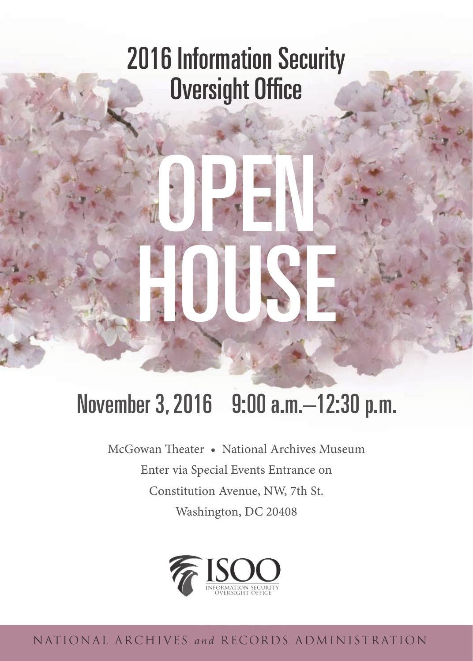## 2016 Information Security Oversight Office

OPEN

## November 3, 2016 9:00 a.m.–12:30 p.m.

HOUSE

McGowan Theater • National Archives Museum Enter via Special Events Entrance on Constitution Avenue, NW, 7th St. Washington, DC 20408



2016 OPEN HOUSE | i national archives *and* records administration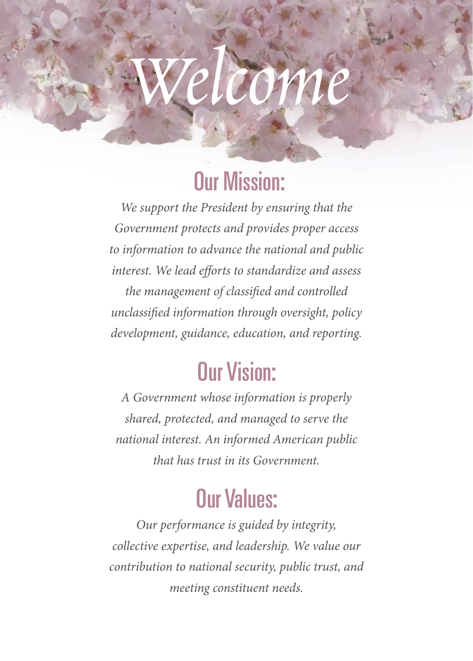# *Welcome*

## Our Mission:

*We support the President by ensuring that the Government protects and provides proper access to information to advance the national and public interest. We lead efforts to standardize and assess the management of classified and controlled unclassified information through oversight, policy development, guidance, education, and reporting.* 

## Our Vision:

*A Government whose information is properly shared, protected, and managed to serve the national interest. An informed American public that has trust in its Government.* 

## Our Values:

*Our performance is guided by integrity, collective expertise, and leadership. We value our contribution to national security, public trust, and meeting constituent needs.*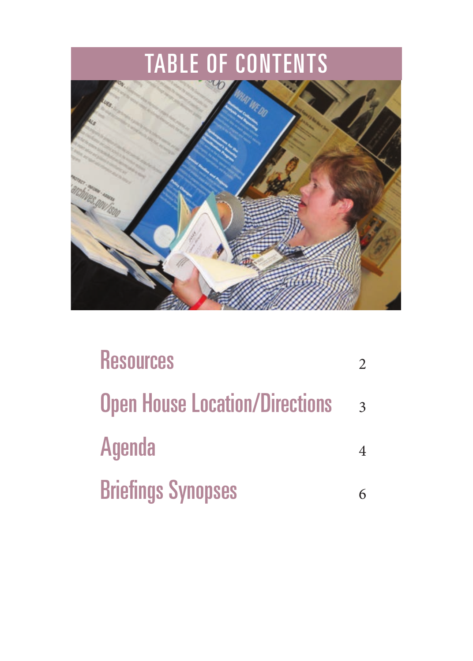## TABLE OF CONTENTS



| <b>Resources</b>                      |              |
|---------------------------------------|--------------|
| <b>Open House Location/Directions</b> | $\mathbf{R}$ |
| <b>Agenda</b>                         |              |
| <b>Briefings Synopses</b>             |              |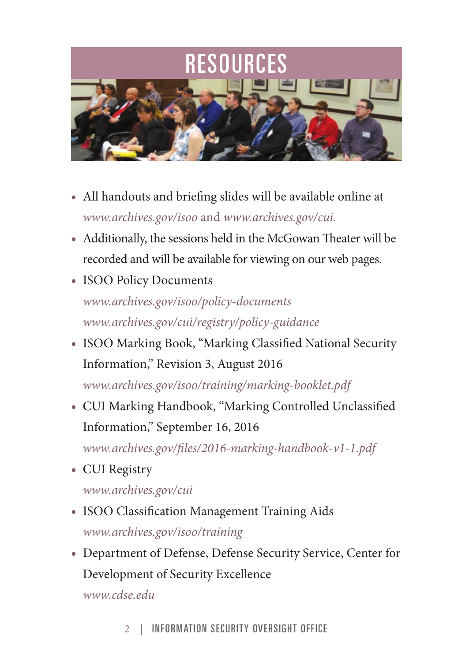## RESOURCES



- • All handouts and briefing slides will be available online at *www.archives.gov/isoo* and *www.archives.gov/cui.*
- • Additionally, the sessions held in the McGowan Theater will be recorded and will be available for viewing on our web pages.
- ISOO Policy Documents *www.archives.gov/isoo/policy-documents www.archives.gov/cui/registry/policy-guidance*
- • ISOO Marking Book, "Marking Classified National Security Information," Revision 3, August 2016 *www.archives.gov/isoo/training/marking-booklet.pdf*
- • CUI Marking Handbook, "Marking Controlled Unclassified Information," September 16, 2016 *www.archives.gov/files/2016-marking-handbook-v1-1.pdf*
- CUI Registry

*www.archives.gov/cui* 

- ISOO Classification Management Training Aids *www.archives.gov/isoo/training*
- • Department of Defense, Defense Security Service, Center for Development of Security Excellence *www.cdse.edu*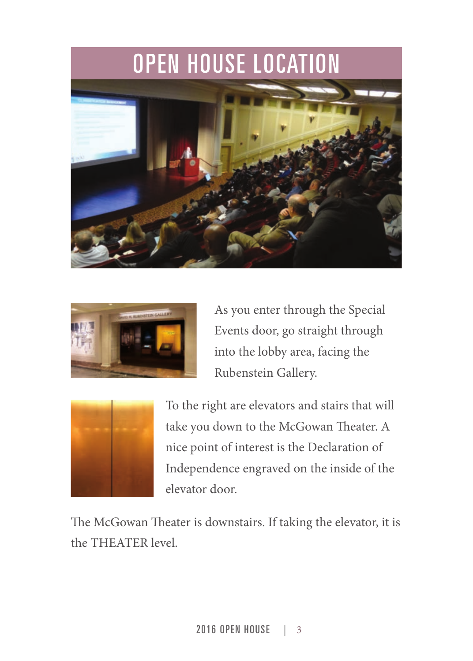## OPEN HOUSE LOCATION





As you enter through the Special Events door, go straight through into the lobby area, facing the Rubenstein Gallery.



To the right are elevators and stairs that will take you down to the McGowan Theater. A nice point of interest is the Declaration of Independence engraved on the inside of the elevator door.

The McGowan Theater is downstairs. If taking the elevator, it is the THEATER level.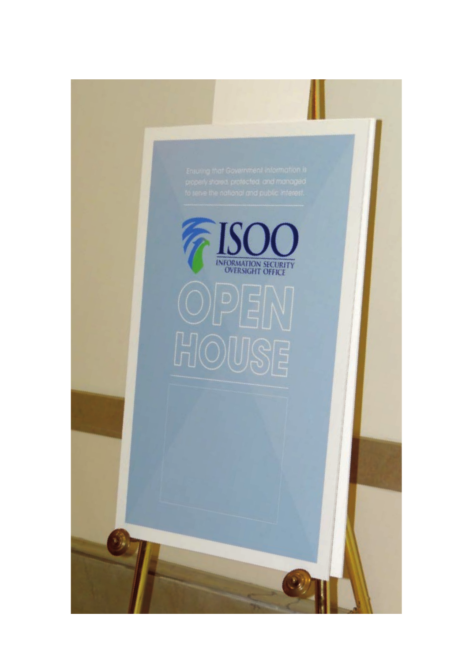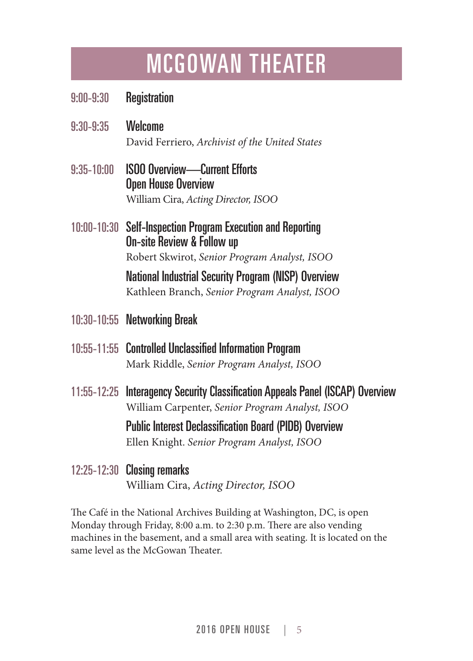## MCGOWAN THEATER

- 9:00-9:30 Registration
- 9:30-9:35 Welcome David Ferriero, *Archivist of the United States*
- 9:35-10:00 ISOO Overview-Current Efforts Open House Overview William Cira, *Acting Director, ISOO*
- 10:00-10:30 Self-Inspection Program Execution and Reporting On-site Review & Follow up Robert Skwirot, *Senior Program Analyst, ISOO*

National Industrial Security Program (NISP) Overview Kathleen Branch, *Senior Program Analyst, ISOO* 

- 10:30-10:55 Networking Break
- 10:55-11:55 Controlled Unclassified Information Program Mark Riddle, *Senior Program Analyst, ISOO*
- 11:55-12:25 Interagency Security Classification Appeals Panel (ISCAP) Overview William Carpenter, *Senior Program Analyst, ISOO*

Public Interest Declassification Board (PIDB) Overview Ellen Knight. *Senior Program Analyst, ISOO* 

12:25-12:30 Closing remarks William Cira, *Acting Director, ISOO* 

The Café in the National Archives Building at Washington, DC, is open Monday through Friday, 8:00 a.m. to 2:30 p.m. There are also vending machines in the basement, and a small area with seating. It is located on the same level as the McGowan Theater.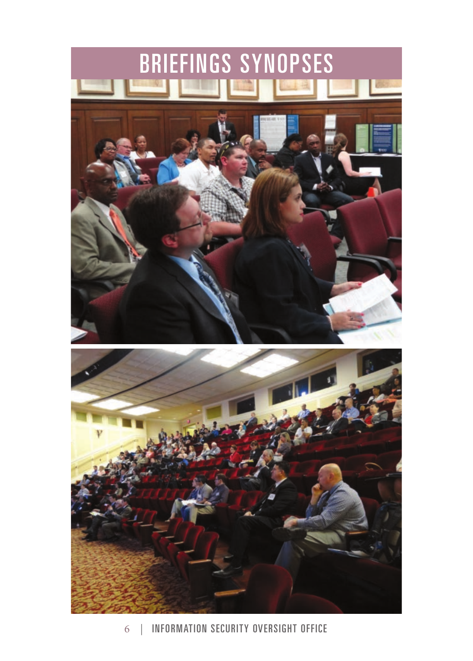

6 | INFORMATION SECURITY OVERSIGHT OFFICE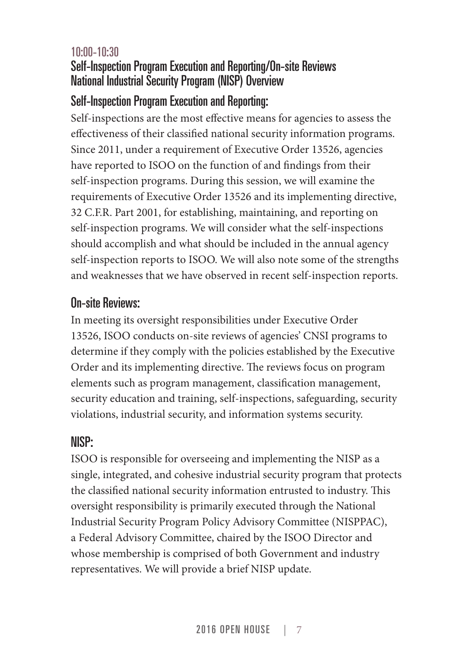#### 10:00-10:30 Self-Inspection Program Execution and Reporting/On-site Reviews National Industrial Security Program (NISP) Overview

#### Self-Inspection Program Execution and Reporting:

Self-inspections are the most effective means for agencies to assess the effectiveness of their classified national security information programs. Since 2011, under a requirement of Executive Order 13526, agencies have reported to ISOO on the function of and findings from their self-inspection programs. During this session, we will examine the requirements of Executive Order 13526 and its implementing directive, 32 C.F.R. Part 2001, for establishing, maintaining, and reporting on self-inspection programs. We will consider what the self-inspections should accomplish and what should be included in the annual agency self-inspection reports to ISOO. We will also note some of the strengths and weaknesses that we have observed in recent self-inspection reports.

#### On-site Reviews:

In meeting its oversight responsibilities under Executive Order 13526, ISOO conducts on-site reviews of agencies' CNSI programs to determine if they comply with the policies established by the Executive Order and its implementing directive. The reviews focus on program elements such as program management, classification management, security education and training, self-inspections, safeguarding, security violations, industrial security, and information systems security.

#### NISP:

ISOO is responsible for overseeing and implementing the NISP as a single, integrated, and cohesive industrial security program that protects the classified national security information entrusted to industry. This oversight responsibility is primarily executed through the National Industrial Security Program Policy Advisory Committee (NISPPAC), a Federal Advisory Committee, chaired by the ISOO Director and whose membership is comprised of both Government and industry representatives. We will provide a brief NISP update.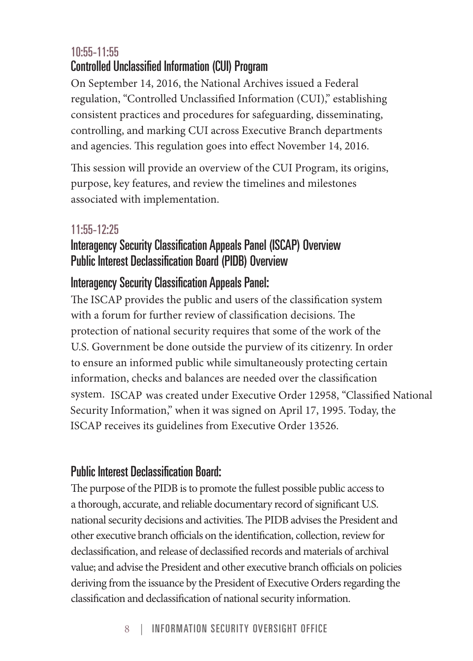#### 10:55-11:55 Controlled Unclassified Information (CUI) Program

On September 14, 2016, the National Archives issued a Federal regulation, "Controlled Unclassified Information (CUI)," establishing consistent practices and procedures for safeguarding, disseminating, controlling, and marking CUI across Executive Branch departments and agencies. This regulation goes into effect November 14, 2016.

This session will provide an overview of the CUI Program, its origins, purpose, key features, and review the timelines and milestones associated with implementation.

#### 11:55-12:25

#### Interagency Security Classification Appeals Panel (ISCAP) Overview Public Interest Declassification Board (PIDB) Overview

#### Interagency Security Classification Appeals Panel:

 system. ISCAP was created under Executive Order 12958, "Classified National The ISCAP provides the public and users of the classification system with a forum for further review of classification decisions. The protection of national security requires that some of the work of the U.S. Government be done outside the purview of its citizenry. In order to ensure an informed public while simultaneously protecting certain information, checks and balances are needed over the classification Security Information," when it was signed on April 17, 1995. Today, the ISCAP receives its guidelines from Executive Order 13526.

#### Public Interest Declassification Board:

The purpose of the PIDB is to promote the fullest possible public access to a thorough, accurate, and reliable documentary record of significant U.S. national security decisions and activities. The PIDB advises the President and other executive branch officials on the identification, collection, review for declassification, and release of declassified records and materials of archival value; and advise the President and other executive branch officials on policies deriving from the issuance by the President of Executive Orders regarding the classification and declassification of national security information.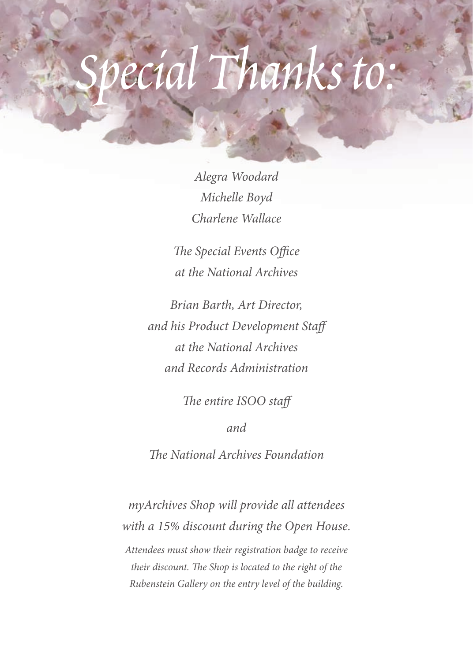## *ecial Thank*

 *<b>1* 

*Alegra Woodard Michelle Boyd Charlene Wallace* 

*The Special Events Office at the National Archives* 

*Brian Barth, Art Director, and his Product Development Staff at the National Archives and Records Administration* 

*The entire ISOO staff* 

*and* 

*The National Archives Foundation* 

*myArchives Shop will provide all attendees with a 15% discount during the Open House. Attendees must show their registration badge to receive their discount. The Shop is located to the right of the Rubenstein Gallery on the entry level of the building.*